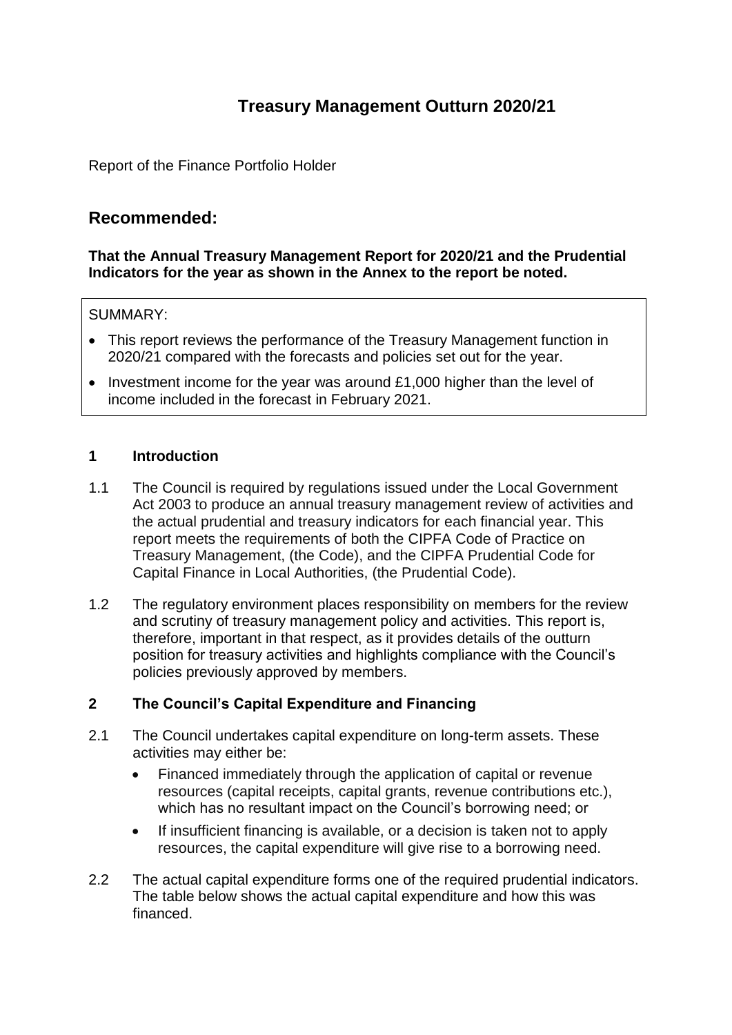# **Treasury Management Outturn 2020/21**

Report of the Finance Portfolio Holder

## **Recommended:**

### **That the Annual Treasury Management Report for 2020/21 and the Prudential Indicators for the year as shown in the Annex to the report be noted.**

#### SUMMARY:

- This report reviews the performance of the Treasury Management function in 2020/21 compared with the forecasts and policies set out for the year.
- Investment income for the year was around  $£1,000$  higher than the level of income included in the forecast in February 2021.

#### **1 Introduction**

- 1.1 The Council is required by regulations issued under the Local Government Act 2003 to produce an annual treasury management review of activities and the actual prudential and treasury indicators for each financial year. This report meets the requirements of both the CIPFA Code of Practice on Treasury Management, (the Code), and the CIPFA Prudential Code for Capital Finance in Local Authorities, (the Prudential Code).
- 1.2 The regulatory environment places responsibility on members for the review and scrutiny of treasury management policy and activities. This report is, therefore, important in that respect, as it provides details of the outturn position for treasury activities and highlights compliance with the Council's policies previously approved by members.

### **2 The Council's Capital Expenditure and Financing**

- 2.1 The Council undertakes capital expenditure on long-term assets. These activities may either be:
	- Financed immediately through the application of capital or revenue resources (capital receipts, capital grants, revenue contributions etc.), which has no resultant impact on the Council's borrowing need; or
	- If insufficient financing is available, or a decision is taken not to apply resources, the capital expenditure will give rise to a borrowing need.
- 2.2 The actual capital expenditure forms one of the required prudential indicators. The table below shows the actual capital expenditure and how this was financed.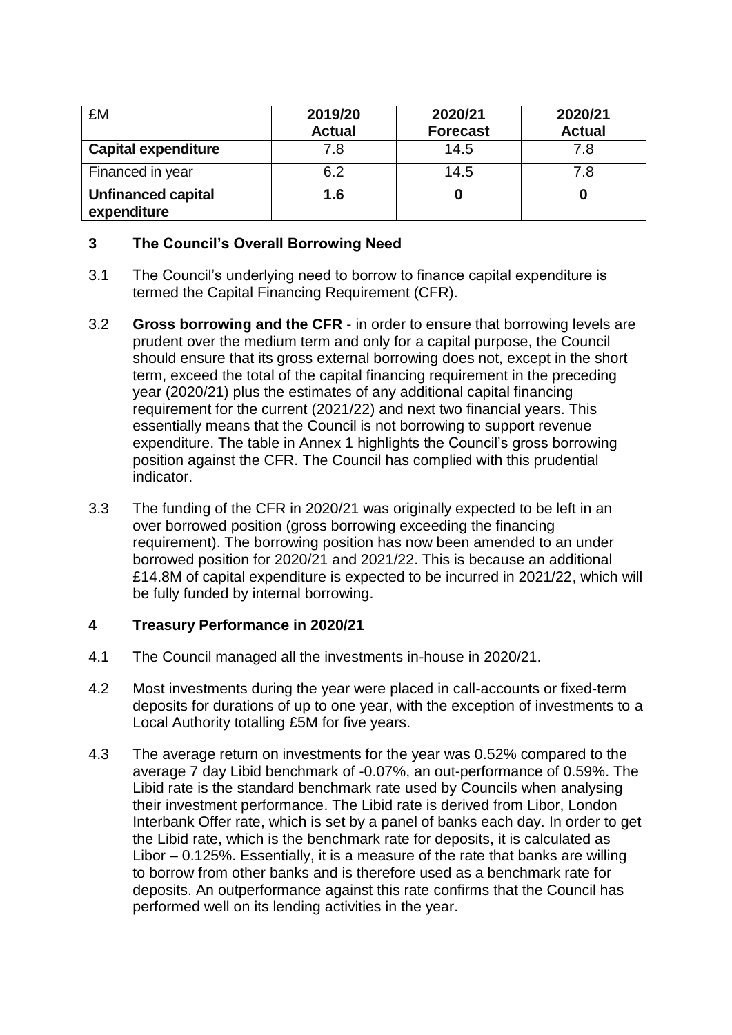| £M                                       | 2019/20<br><b>Actual</b> | 2020/21<br><b>Forecast</b> | 2020/21<br><b>Actual</b> |
|------------------------------------------|--------------------------|----------------------------|--------------------------|
| <b>Capital expenditure</b>               | 7.8                      | 14.5                       | 7.8                      |
| Financed in year                         | 6.2                      | 14.5                       | 7.8                      |
| <b>Unfinanced capital</b><br>expenditure | 1.6                      |                            |                          |

### **3 The Council's Overall Borrowing Need**

- 3.1 The Council's underlying need to borrow to finance capital expenditure is termed the Capital Financing Requirement (CFR).
- 3.2 **Gross borrowing and the CFR** in order to ensure that borrowing levels are prudent over the medium term and only for a capital purpose, the Council should ensure that its gross external borrowing does not, except in the short term, exceed the total of the capital financing requirement in the preceding year (2020/21) plus the estimates of any additional capital financing requirement for the current (2021/22) and next two financial years. This essentially means that the Council is not borrowing to support revenue expenditure. The table in Annex 1 highlights the Council's gross borrowing position against the CFR. The Council has complied with this prudential indicator.
- 3.3 The funding of the CFR in 2020/21 was originally expected to be left in an over borrowed position (gross borrowing exceeding the financing requirement). The borrowing position has now been amended to an under borrowed position for 2020/21 and 2021/22. This is because an additional £14.8M of capital expenditure is expected to be incurred in 2021/22, which will be fully funded by internal borrowing.

### **4 Treasury Performance in 2020/21**

- 4.1 The Council managed all the investments in-house in 2020/21.
- 4.2 Most investments during the year were placed in call-accounts or fixed-term deposits for durations of up to one year, with the exception of investments to a Local Authority totalling £5M for five years.
- 4.3 The average return on investments for the year was 0.52% compared to the average 7 day Libid benchmark of -0.07%, an out-performance of 0.59%. The Libid rate is the standard benchmark rate used by Councils when analysing their investment performance. The Libid rate is derived from Libor, London Interbank Offer rate, which is set by a panel of banks each day. In order to get the Libid rate, which is the benchmark rate for deposits, it is calculated as Libor – 0.125%. Essentially, it is a measure of the rate that banks are willing to borrow from other banks and is therefore used as a benchmark rate for deposits. An outperformance against this rate confirms that the Council has performed well on its lending activities in the year.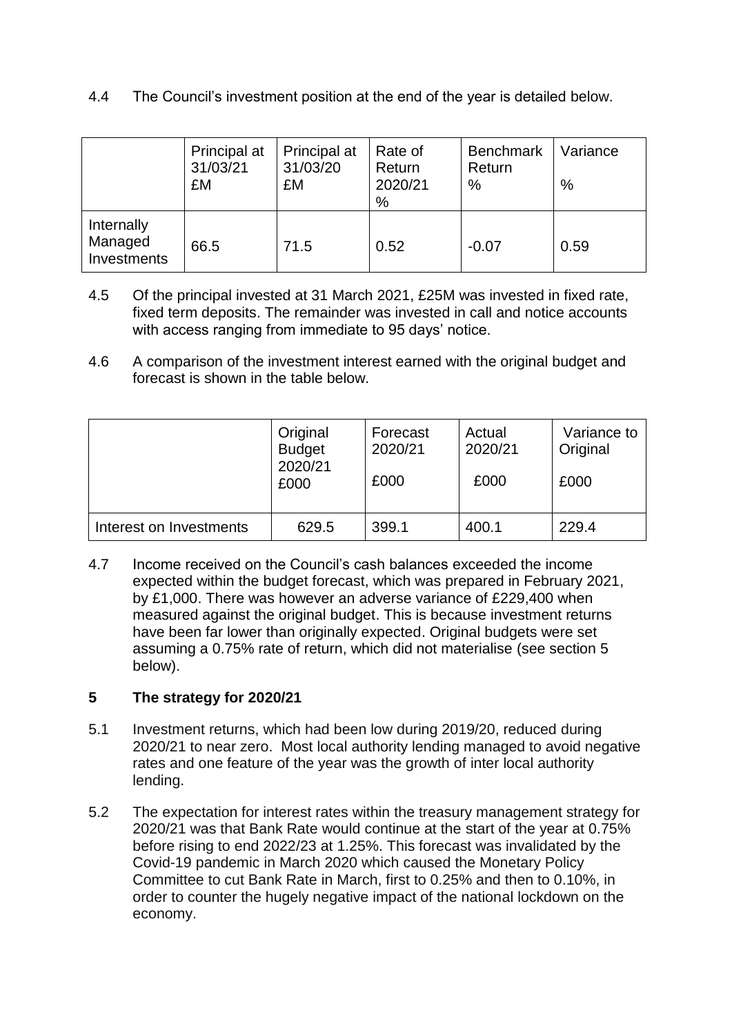4.4 The Council's investment position at the end of the year is detailed below.

|                                      | Principal at<br>31/03/21<br>£M | Principal at<br>31/03/20<br>£M | Rate of<br>Return<br>2020/21<br>% | <b>Benchmark</b><br>Return<br>% | Variance<br>% |
|--------------------------------------|--------------------------------|--------------------------------|-----------------------------------|---------------------------------|---------------|
| Internally<br>Managed<br>Investments | 66.5                           | 71.5                           | 0.52                              | $-0.07$                         | 0.59          |

- 4.5 Of the principal invested at 31 March 2021, £25M was invested in fixed rate, fixed term deposits. The remainder was invested in call and notice accounts with access ranging from immediate to 95 days' notice.
- 4.6 A comparison of the investment interest earned with the original budget and forecast is shown in the table below.

|                         | Original<br><b>Budget</b><br>2020/21<br>£000 | Forecast<br>2020/21<br>£000 | Actual<br>2020/21<br>£000 | Variance to<br>Original<br>£000 |
|-------------------------|----------------------------------------------|-----------------------------|---------------------------|---------------------------------|
| Interest on Investments | 629.5                                        | 399.1                       | 400.1                     | 229.4                           |

4.7 Income received on the Council's cash balances exceeded the income expected within the budget forecast, which was prepared in February 2021, by £1,000. There was however an adverse variance of £229,400 when measured against the original budget. This is because investment returns have been far lower than originally expected. Original budgets were set assuming a 0.75% rate of return, which did not materialise (see section 5 below).

### **5 The strategy for 2020/21**

- 5.1 Investment returns, which had been low during 2019/20, reduced during 2020/21 to near zero. Most local authority lending managed to avoid negative rates and one feature of the year was the growth of inter local authority lending.
- 5.2 The expectation for interest rates within the treasury management strategy for 2020/21 was that Bank Rate would continue at the start of the year at 0.75% before rising to end 2022/23 at 1.25%. This forecast was invalidated by the Covid-19 pandemic in March 2020 which caused the Monetary Policy Committee to cut Bank Rate in March, first to 0.25% and then to 0.10%, in order to counter the hugely negative impact of the national lockdown on the economy.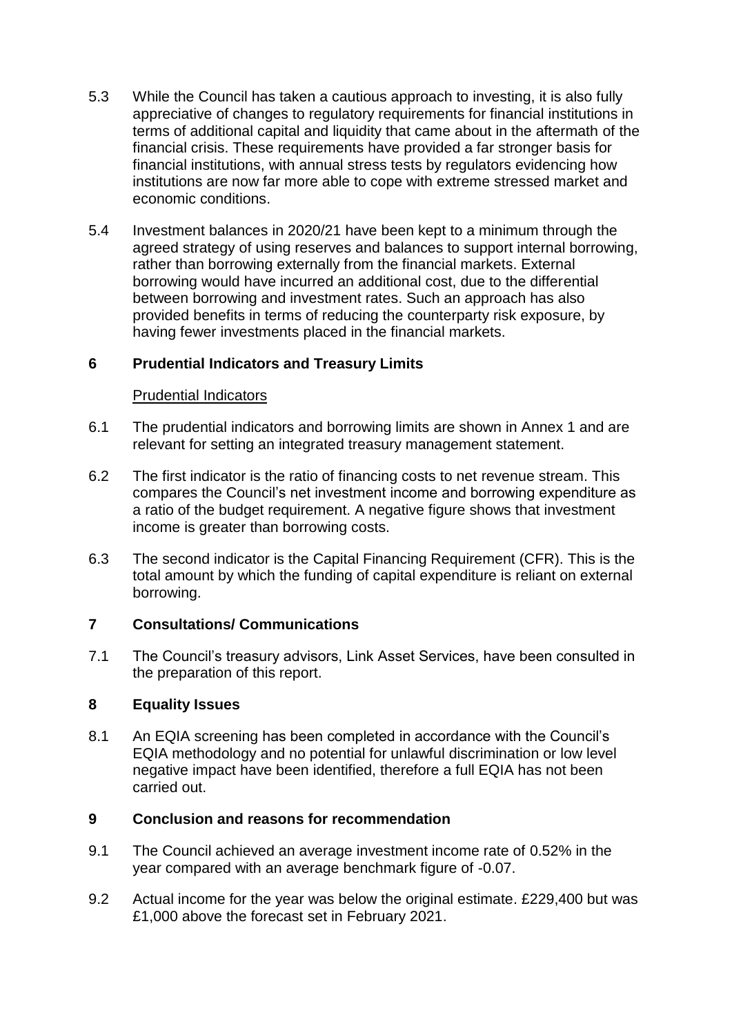- 5.3 While the Council has taken a cautious approach to investing, it is also fully appreciative of changes to regulatory requirements for financial institutions in terms of additional capital and liquidity that came about in the aftermath of the financial crisis. These requirements have provided a far stronger basis for financial institutions, with annual stress tests by regulators evidencing how institutions are now far more able to cope with extreme stressed market and economic conditions.
- 5.4 Investment balances in 2020/21 have been kept to a minimum through the agreed strategy of using reserves and balances to support internal borrowing, rather than borrowing externally from the financial markets. External borrowing would have incurred an additional cost, due to the differential between borrowing and investment rates. Such an approach has also provided benefits in terms of reducing the counterparty risk exposure, by having fewer investments placed in the financial markets.

### **6 Prudential Indicators and Treasury Limits**

### Prudential Indicators

- 6.1 The prudential indicators and borrowing limits are shown in Annex 1 and are relevant for setting an integrated treasury management statement.
- 6.2 The first indicator is the ratio of financing costs to net revenue stream. This compares the Council's net investment income and borrowing expenditure as a ratio of the budget requirement. A negative figure shows that investment income is greater than borrowing costs.
- 6.3 The second indicator is the Capital Financing Requirement (CFR). This is the total amount by which the funding of capital expenditure is reliant on external borrowing.

### **7 Consultations/ Communications**

7.1 The Council's treasury advisors, Link Asset Services, have been consulted in the preparation of this report.

### **8 Equality Issues**

8.1 An EQIA screening has been completed in accordance with the Council's EQIA methodology and no potential for unlawful discrimination or low level negative impact have been identified, therefore a full EQIA has not been carried out.

### **9 Conclusion and reasons for recommendation**

- 9.1 The Council achieved an average investment income rate of 0.52% in the year compared with an average benchmark figure of -0.07.
- 9.2 Actual income for the year was below the original estimate. £229,400 but was £1,000 above the forecast set in February 2021.